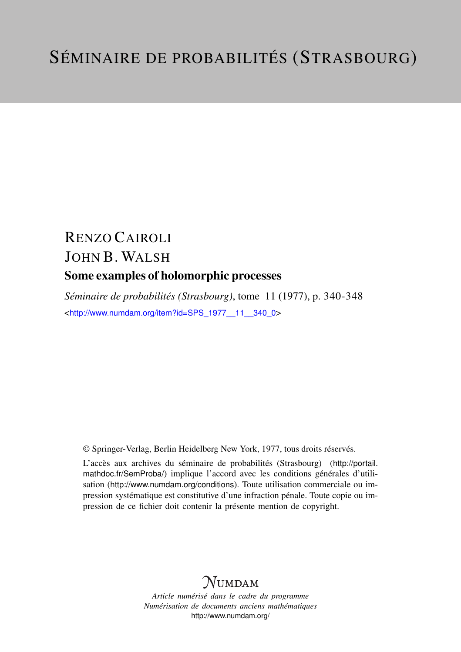## RENZO CAIROLI JOHN B. WALSH Some examples of holomorphic processes

*Séminaire de probabilités (Strasbourg)*, tome 11 (1977), p. 340-348 <[http://www.numdam.org/item?id=SPS\\_1977\\_\\_11\\_\\_340\\_0](http://www.numdam.org/item?id=SPS_1977__11__340_0)>

© Springer-Verlag, Berlin Heidelberg New York, 1977, tous droits réservés.

L'accès aux archives du séminaire de probabilités (Strasbourg) ([http://portail.](http://portail.mathdoc.fr/SemProba/) [mathdoc.fr/SemProba/](http://portail.mathdoc.fr/SemProba/)) implique l'accord avec les conditions générales d'utilisation (<http://www.numdam.org/conditions>). Toute utilisation commerciale ou impression systématique est constitutive d'une infraction pénale. Toute copie ou impression de ce fichier doit contenir la présente mention de copyright.

## **NUMDAM**

*Article numérisé dans le cadre du programme Numérisation de documents anciens mathématiques* <http://www.numdam.org/>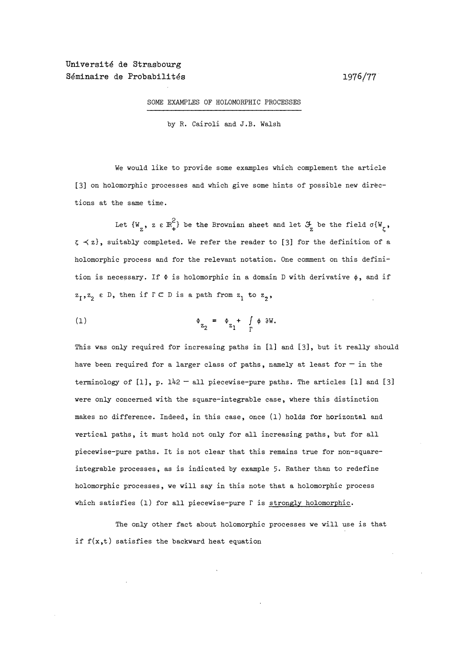## SOME EXAMPLES OF HOLOMORPHIC PROCESSES

by R. Cairoli and J.B. Walsh

We would like to provide some examples which complement the article [3] on holomorphic processes and which give some hints of possible new directions at the same time.

Let  $\{W_{\alpha}, \alpha \in \mathbb{R}^2_+ \}$  be the Brownian sheet and let  $\mathcal{F}_{\alpha}$  be the field  $\sigma\{W_{\alpha}, \alpha \in \mathbb{R}^2_+ \}$  $\zeta \prec z$ , suitably completed. We refer the reader to [3] for the definition of a holomorphic process and for the relevant notation. One comment on this definition is necessary. If  $\phi$  is holomorphic in a domain D with derivative  $\phi$ , and if  $z_1, z_2 \in D$ , then if  $\Gamma \subset D$  is a path from  $z_1$  to  $z_2$ ,

$$
\Phi_{Z_2} = \Phi_{Z_1} + \int_{\Gamma} \phi \, \partial W.
$$

This was only required for increasing paths in [1] and [3], but it really should have been required for a larger class of paths, namely at least for  $-$  in the terminology of  $[1]$ , p.  $142 - 111$  piecewise-pure paths. The articles  $[1]$  and  $[3]$ were only concerned with the square-integrable case, where this distinction makes no difference. Indeed, in this case, once (1) holds for horizontal and vertical paths, it must hold not only for all increasing paths, but for all piecewise-pure paths. It is not clear that this remains true for non-squareintegrable processes, as is indicated by example 5. Rather than to redefine holomorphic processes, we will say in this note that a holomorphic process which satisfies (1) for all piecewise-pure  $\Gamma$  is strongly holomorphic.

The only other fact about holomorphic processes we will use is that if  $f(x,t)$  satisfies the backward heat equation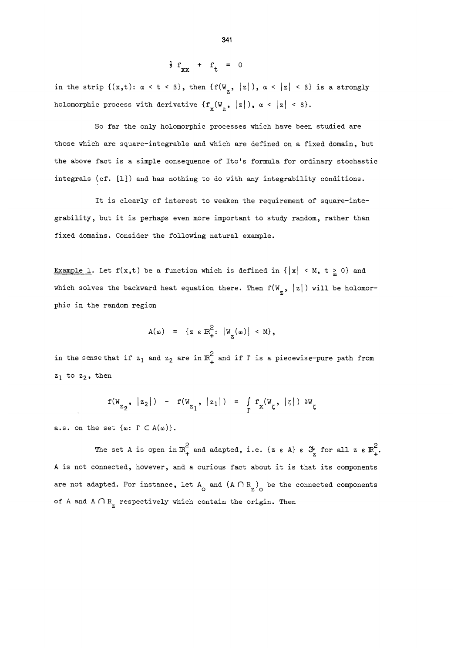$$
\frac{1}{2} f_{xx} + f_t = 0
$$

in the strip  $\{(x,t): \alpha < t < \beta\}$ , then  $\{f(W_{\alpha}, |z|), \alpha < |z| < \beta\}$  is a strongly holomorphic process with derivative  $\{f_x(W_z, |z|), \alpha < |z| < \beta\}$ ,

So far the only holomorphic processes which have been studied are those which are square-integrable and which are defined on a fixed domain, but the above fact is a simple consequence of Ito's formula for ordinary stochastic integrals (cf. [1]) and has nothing to do with any integrability conditions.

It is clearly of interest to weaken the requirement of square-integrability, but it is perhaps even more important to study random, rather than fixed domains. Consider the following natural example.

Example 1. Let  $f(x,t)$  be a function which is defined in  $\{|x| \le M$ ,  $t \ge 0\}$  and which solves the backward heat equation there. Then  $f(W_{\tau}, |z|)$  will be holomorphic in the random region

$$
A(\omega) = \{ z \in \mathbb{R}_+^2 : |W_{Z}(\omega)| < M \},
$$

in the sense that if  $z_1$  and  $z_2$  are in  $\mathbb{R}^2_+$  and if  $\Gamma$  is a piecewise-pure path from  $z_1$  to  $z_2$ , then

$$
f(W_{z_2}, |z_2|) - f(W_{z_1}, |z_1|) = \int_{\Gamma} f_x(W_{\zeta}, |z|) \partial W_{\zeta}
$$

a.s. on the set  $\{\omega: \Gamma \subset A(\omega)\}.$ 

The set A is open in  $\mathbb{R}^2_+$  and adapted, i.e. {z  $\epsilon$  A}  $\epsilon$   $\mathcal{F}_2$  for all z  $\epsilon$   $\mathbb{R}^2_+$ . A is not connected, however, and a curious fact about it is that its components are not adapted. For instance, let  $A_0$  and  $(A \cap R_2)$  be the connected components of A and  $A \cap R$ <sub>z</sub> respectively which contain the origin. Then

$$
34
$$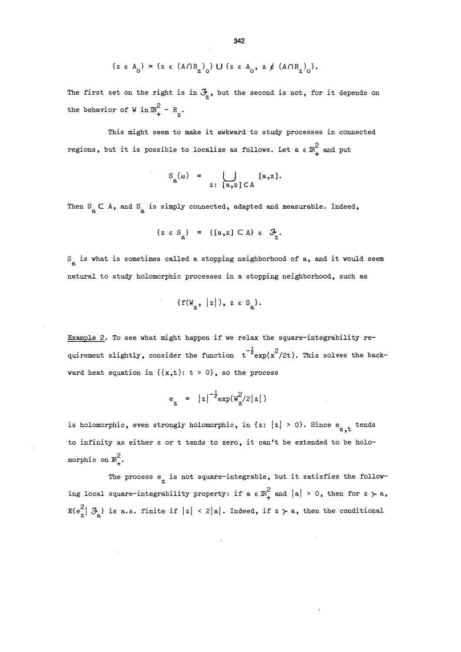$$
\{z \in A_{\underset{\sim}{0}}\} = \{z \in (A \cap R_{\underset{\sim}{Z}})_{\underset{\sim}{0}}\} \cup \{z \in A_{\underset{\sim}{0}}, z \notin (A \cap R_{\underset{\sim}{Z}})_{\underset{\sim}{0}}\}.
$$

The first set on the right is in  $\mathfrak{F}_z$ , but the second is not, for it depends on the behavior of W in  $\mathbb{R}_+^2$  -  $\mathbb{R}_+$ .

This might seem to make it awkward to study processes in connected regions, but it is possible to localize as follows. Let a  $\epsilon \mathbb{R}^2_+$  and put

$$
S_{a}(\omega) = \bigcup_{z: [a, z] \in A} [a, z].
$$

Then  $S_{\rm g} \subset A$ , and  $S_{\rm g}$  is simply connected, adapted and measurable. Indeed,

$$
\{z \in S_{a}\} = \{[a,z] \subset A\} \varepsilon \quad \mathcal{F}_{z}.
$$

 $S_{\rm g}$  is what is sometimes called a stopping neighborhood of a, and it would seem natural to study holomorphic processes in a stopping neighborhood, such as

$$
\{f(W_z, |z|), z \in S_a\}.
$$

Example 2. To see what might happen if we relax the square-integrability requirement slightly, consider the function  $t^{-\frac{1}{2}} \exp(x^2/2t)$ . This solves the backward heat equation in  $\{(x,t): t > 0\}$ , so the process

$$
e_{z}
$$
 =  $|z|^{-\frac{1}{2}} \exp(w_{z}^{2}/2|z|)$ 

is holomorphic, even strongly holomorphic, in  $\{z: |z| \geq 0\}$ . Since e<sub>s,t</sub>tends to infinity as either s or t tends to zero, it can't be extended to be holomorphic on  $\mathbb{R}_+^2$ .

The process  $e_{\tau}$  is not square-integrable, but it satisfies the following local square-integrability property: if a  $\epsilon \mathbb{R}^2_+$  and  $|a| > 0$ , then for  $z > a$ ,  $E\{e_{z}^{2}|\mathcal{F}_{A}\}\$ is a.s. finite if  $|z| < 2|a|$ . Indeed, if  $z \succ a$ , then the conditional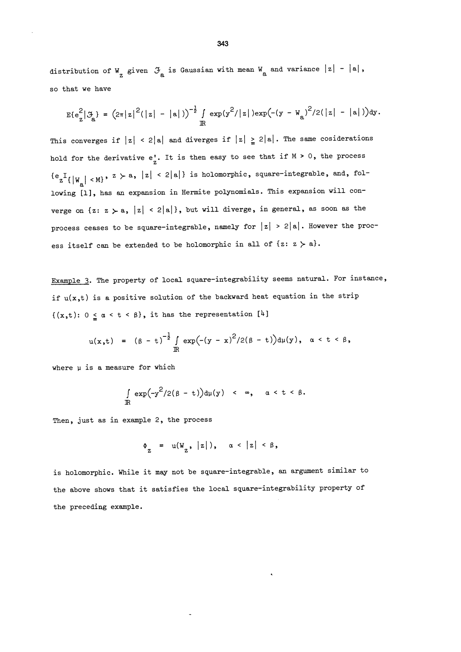distribution of W<sub>z</sub> given  $\mathcal{F}_a$  is Gaussian with mean W<sub>a</sub> and variance  $|z| - |a|$ , so that we have

$$
E\{e_{z}^{2}|\mathcal{F}_{a}\} = (2\pi |z|^{2}(|z|-|a|))^{-\frac{1}{2}} \int_{\mathbb{R}} exp(y^{2}/|z|)exp(-(y-W_{a})^{2}/2(|z|-|a|))dy.
$$

This converges if  $|z| < 2|a|$  and diverges if  $|z| \ge 2|a|$ . The same cosiderations hold for the derivative  $e'_z$ . It is then easy to see that if  $M > 0$ , the process  ${e_z}^I\{|W_{\alpha}| \prec M\}$ ,  $z \succ a$ ,  $|z| \prec 2|a|\}$  is holomorphic, square-integrable, and, following [1], has an expansion in Hermite polynomials. This expansion will converge on  $\{z: z > a, |z| < 2|a|\}$ , but will diverge, in general, as soon as the process ceases to be square-integrable, namely for  $|z| > 2|a|$ . However the process itself can be extended to be holomorphic in all of  $\{z: z > a\}.$ 

Example 3. The property of local square-integrability seems natural. For instance, if  $u(x,t)$  is a positive solution of the backward heat equation in the strip  $\{(x,t): 0 \leq \alpha < t < \beta\},\$ it has the representation  $[4]$ 

$$
u(x,t) = (\beta - t)^{-\frac{1}{2}} \int_{\mathbb{R}} exp(-(y - x)^2/2(\beta - t))d\mu(y), \alpha < t < \beta,
$$

where  $\mu$  is a measure for which

$$
\int_{\mathbb{R}} \exp(-y^2/2(\beta - t))d\mu(y) < \infty, \quad \alpha < t < \beta.
$$

Then, just as in example 2, the process

$$
\Phi_{Z} = u(W_{Z}, |z|), \quad \alpha < |z| < \beta,
$$

is holomorphic. While it may not be square-integrable, an argument similar to the above shows that it satisfies the local square-integrability property of the preceding example.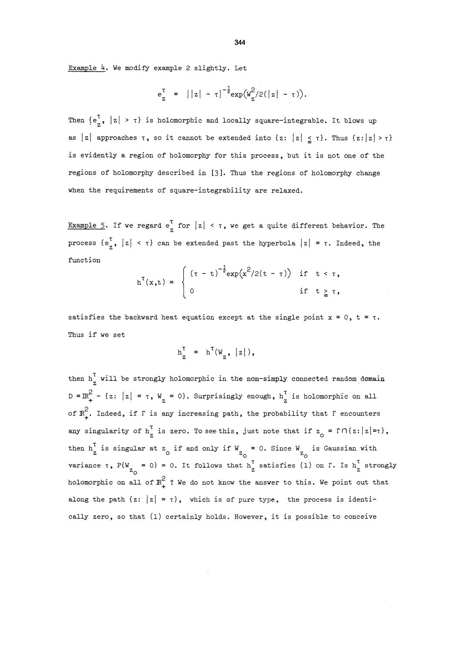Example 4. We modify example 2 slightly. Let

$$
e_{z}^{\tau} = ||z| - \tau|^{-\frac{1}{2}} \exp(w_{z}^{2}/2(|z| - \tau)).
$$

Then  $\{e_{z}^{T}, |z| > \tau\}$  is holomorphic and locally square-integrable. It blows up as |z| approaches  $\tau$ , so it cannot be extended into {z: |z|  $\leq \tau$ }. Thus {z: |z| >  $\tau$ } is evidently a region of holomorphy for this process, but it is not one of the regions of holomorphy described in [3]. Thus the regions of holomorphy change when the requirements of square-integrability are relaxed.

Example 5. If we regard  $e^T$  for  $|z| < \tau$ , we get a quite different behavior. The process  $\{e_{\tau}^{\tau}, |z| < \tau\}$  can be extended past the hyperbola  $|z| = \tau$ . Indeed, the function

$$
h^{T}(x,t) = \begin{cases} (\tau - t)^{-\frac{1}{2}} exp(x^{2}/2(t - \tau)) & \text{if } t < \tau, \\ 0 & \text{if } t \geq \tau, \end{cases}
$$

satisfies the backward heat equation except at the single point  $x = 0$ ,  $t = \tau$ . Thus if we set

$$
h_{z}^{\tau} = h^{\tau}(W_{z}, |z|),
$$

then  $h_{z}^{T}$  will be strongly holomorphic in the non-simply connected random domain  $D = \mathbb{R}^2$  - {z: |z| =  $\tau$ , W<sub>z</sub> = 0}. Surprisingly enough,  $h_{\tau}^T$  is holomorphic on all of  $\mathbb{R}^2_+$ . Indeed, if  $\Gamma$  is any increasing path, the probability that  $\Gamma$  encounters any singularity of  $h_{z}^{T}$  is zero. To see this, just note that if  $z_{0} = \Gamma \cap \{z: |z| = \tau\}$ , then  $h_{z}^{\tau}$  is singular at  $z_{0}$  if and only if  $W_{z_{0}} = 0$ . Since  $W_{z_{0}}$  is Gaussian with variance  $\tau$ ,  $P\{W = 0\} = 0$ . It follows that  $h_{Z}^{V}$  satisfies (1) on  $\Gamma$ . Is  $h_{Z}^{V}$  strongly holomorphic on all of  $\mathbb{R}^2_+$  ? We do not know the answer to this. We point out that along the path  $\{z: |z| = \tau\}$ , which is of pure type, the process is identically zero, so that (1) certainly holds. However, it is possible to conceive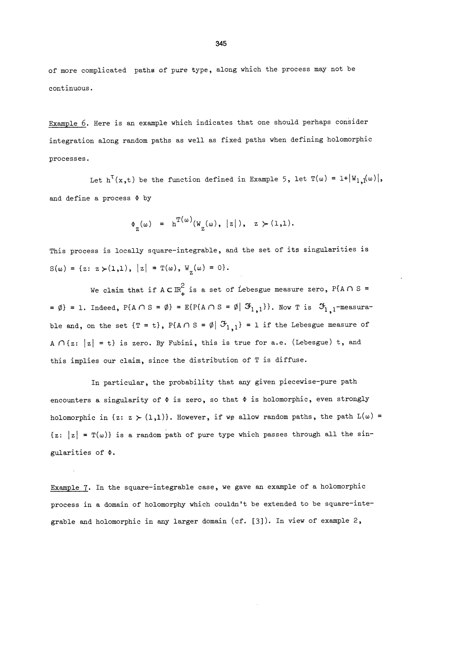of more complicated paths of pure type, along which the process may not be continuous.

Example 6. Here is an example which indicates that one should perhaps consider integration along random paths as well as fixed paths when defining holomorphic processes.

Let  $h^T(x,t)$  be the function defined in Example 5, let  $T(\omega) = 1 + |W_{1,1}(\omega)|$ , and define a process  $\Phi$  by

$$
\Phi_{\pi}(\omega) = h^{T(\omega)}(W_{Z}(\omega), |z|), z > (1,1).
$$

This process is locally square-integrable, and the set of its singularities is  $S(\omega) = \{z: z \succ (1,1), |z| = T(\omega), W_{z}(\omega) = 0\}.$ 

We claim that if  $A \subset \mathbb{R}_+^2$  is a set of Lebesgue measure zero, P{A  $\cap$  S = =  $\emptyset$ } = 1. Indeed, P{A  $\cap$  S =  $\emptyset$ } = E{P{A  $\cap$  S =  $\emptyset$ |  $\mathfrak{F}_{1,1}$ }}. Now T is  $\mathfrak{F}_{1,1}$ -measurable and, on the set  $\{\mathbb{T} = t\}$ ,  $P\{A \cap S = \emptyset | \mathcal{F}_{1,1}\} = 1$  if the Lebesgue measure of A  $\bigcap \{z: |z| = t\}$  is zero. By Fubini, this is true for a.e. (Lebesgue) t, and this implies our claim, since the distribution of T is diffuse.

In particular, the probability that any given piecewise-pure path encounters a singularity of  $\Phi$  is zero, so that  $\Phi$  is holomorphic, even strongly holomorphic in  $\{z: z \succ (1,1)\}\)$ . However, if we allow random paths, the path  $L(\omega)$  =  $\{z: |z| = \mathbb{T}(\omega)\}\$ is a random path of pure type which passes through all the singularities of  $\Phi$ .

Example 7. In the square-integrable case, we gave an example of a holomorphic process in a domain of holomorphy which couldn't be extended to be square-integrable and holomorphic in any larger domain (cf. [3]). In view of example 2,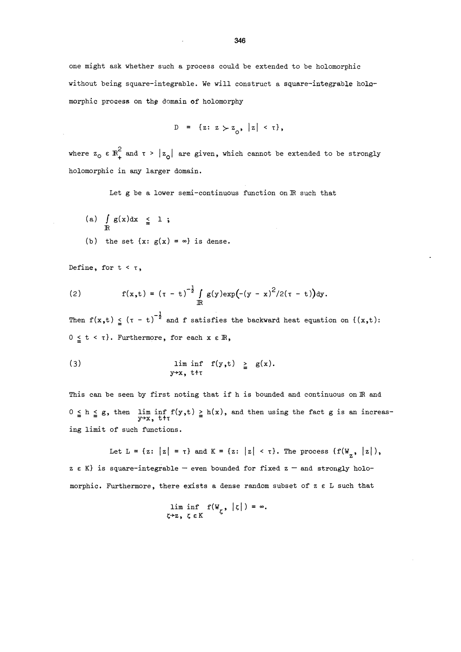one might ask whether such a process could be extended to be holomorphic without being square-integrable. We will construct a square-integrable holomorphic process on the domain of holomorphy

D = {
$$
z: z > z_0
$$
,  $|z| < \tau$ },

where  $z_0 \in \mathbb{R}_+^2$  and  $\tau > |z_0|$  are given, which cannot be extended to be strongly holomorphic in any larger domain.

Let g be a lower semi-continuous function on IR such that

(a)  $\int_{\mathbb{R}} g(x) dx \leq 1$ ; (b) the set  $\{x: g(x) = \infty\}$  is dense.

Define, for  $t < \tau$ ,

(2) 
$$
f(x,t) = (\tau - t)^{-\frac{1}{2}} \int_{\mathbb{R}} g(y) \exp(-(y - x)^2/2(\tau - t)) dy.
$$

Then  $f(x,t) \le (T - t)^{-\frac{1}{2}}$  and f satisfies the backward heat equation on  $\{(x,t):$  $0 \leq t < \tau$ . Furthermore, for each  $x \in \mathbb{R}$ ,

(3) 
$$
\liminf_{y \to x, \text{ t \text{'t}} } f(y,t) \geq g(x).
$$

This can be seen by first noting that if h is bounded and continuous on IR and  $0 \le h \le g$ , then lim inf  $f(y,t) \ge h(x)$ , and then using the fact g is an increas-<br> $y \rightarrow x$ , tt ing limit of such functions.

Let L =  $\{z: |z| = \tau\}$  and K =  $\{z: |z| < \tau\}$ . The process  $\{f(W_{z}, |z|),$  $z \in K$  is square-integrable - even bounded for fixed  $z$  - and strongly holomorphic. Furthermore, there exists a dense random subset of  $z \in L$  such that

$$
\liminf_{\zeta \to \mathbb{Z}, \zeta \in K} f(W_{\zeta}, |\zeta|) = \infty.
$$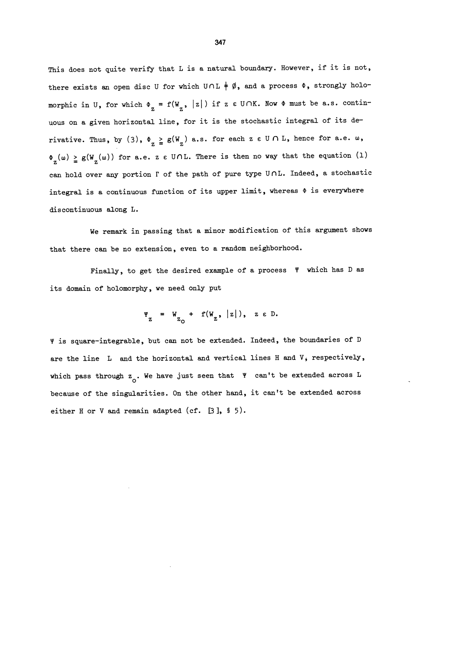This does not quite verify that L is a natural boundary. However, if it is not, there exists an open disc U for which  $U \cap L \neq \emptyset$ , and a process  $\Phi$ , strongly holomorphic in U, for which  $\Phi_{z} = f(W_{z}, |z|)$  if z  $\varepsilon$  U/NK. Now  $\Phi$  must be a.s. continuous on a given horizontal line, for it is the stochastic integral of its derivative. Thus, by (3),  $\Phi_{Z} \geq g(W_{Z})$  a.s. for each z  $\epsilon \cup \bigcap L$ , hence for a.e.  $\omega$ ,  $\Phi_{\overline{z}}(\omega) \geq g(W_{\overline{z}}(\omega))$  for a.e. z e UnL. There is then no way that the equation (1) can hold over any portion  $\Gamma$  of the path of pure type U $\cap$ L. Indeed, a stochastic integral is a continuous function of its upper limit, whereas  $\Phi$  is everywhere discontinuous along L.

We remark in passing that a minor modification of this argument shows that there can be no extension, even to a random neighborhood.

Finally, to get the desired example of a process  $\Psi$  which has D as its domain of holomorphy, we need only put

$$
\Psi_{Z} = W_{Z_{O}} + f(W_{Z}, |z|), \quad z \in D.
$$

~ is square-integrable, but can not be extended. Indeed, the boundaries of D are the line L and the horizontal and vertical lines H and V, respectively, which pass through  $z_0$ . We have just seen that  $y'$  can't be extended across L because of the singularities. On the other hand, it can't be extended across either H or V and remain adapted (cf.  $[3]$ , § 5).